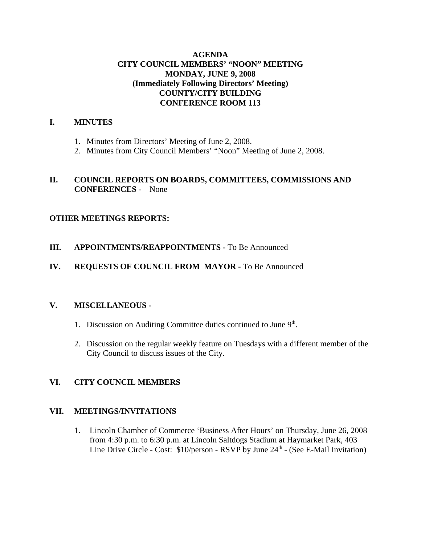# **AGENDA CITY COUNCIL MEMBERS' "NOON" MEETING MONDAY, JUNE 9, 2008 (Immediately Following Directors' Meeting) COUNTY/CITY BUILDING CONFERENCE ROOM 113**

# **I. MINUTES**

- 1. Minutes from Directors' Meeting of June 2, 2008.
- 2. Minutes from City Council Members' "Noon" Meeting of June 2, 2008.

## **II. COUNCIL REPORTS ON BOARDS, COMMITTEES, COMMISSIONS AND CONFERENCES** - None

# **OTHER MEETINGS REPORTS:**

# **III.** APPOINTMENTS/REAPPOINTMENTS - To Be Announced

# **IV. REQUESTS OF COUNCIL FROM MAYOR -** To Be Announced

#### **V. MISCELLANEOUS -**

- 1. Discussion on Auditing Committee duties continued to June  $9<sup>th</sup>$ .
- 2. Discussion on the regular weekly feature on Tuesdays with a different member of the City Council to discuss issues of the City.

# **VI. CITY COUNCIL MEMBERS**

#### **VII. MEETINGS/INVITATIONS**

1. Lincoln Chamber of Commerce 'Business After Hours' on Thursday, June 26, 2008 from 4:30 p.m. to 6:30 p.m. at Lincoln Saltdogs Stadium at Haymarket Park, 403 Line Drive Circle - Cost: \$10/person - RSVP by June 24<sup>th</sup> - (See E-Mail Invitation)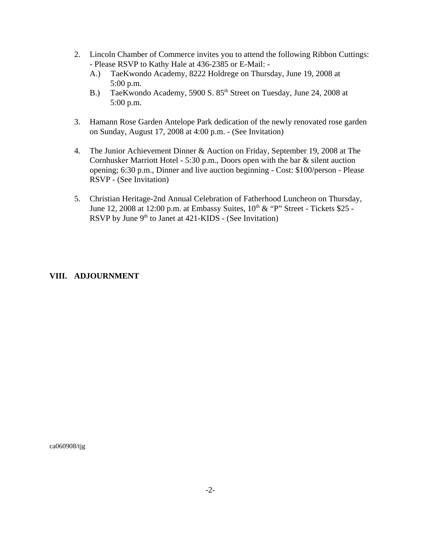- 2. Lincoln Chamber of Commerce invites you to attend the following Ribbon Cuttings: - Please RSVP to Kathy Hale at 436-2385 or E-Mail: -
	- A.) TaeKwondo Academy, 8222 Holdrege on Thursday, June 19, 2008 at 5:00 p.m.
	- B.) TaeKwondo Academy, 5900 S. 85<sup>th</sup> Street on Tuesday, June 24, 2008 at 5:00 p.m.
- 3. Hamann Rose Garden Antelope Park dedication of the newly renovated rose garden on Sunday, August 17, 2008 at 4:00 p.m. - (See Invitation)
- 4. The Junior Achievement Dinner & Auction on Friday, September 19, 2008 at The Cornhusker Marriott Hotel - 5:30 p.m., Doors open with the bar & silent auction opening; 6:30 p.m., Dinner and live auction beginning - Cost: \$100/person - Please RSVP - (See Invitation)
- 5. Christian Heritage-2nd Annual Celebration of Fatherhood Luncheon on Thursday, June 12, 2008 at 12:00 p.m. at Embassy Suites,  $10^{th} \& ^{\circ}$  P" Street - Tickets \$25 -RSVP by June  $9<sup>th</sup>$  to Janet at 421-KIDS - (See Invitation)

## **VIII. ADJOURNMENT**

ca060908/tjg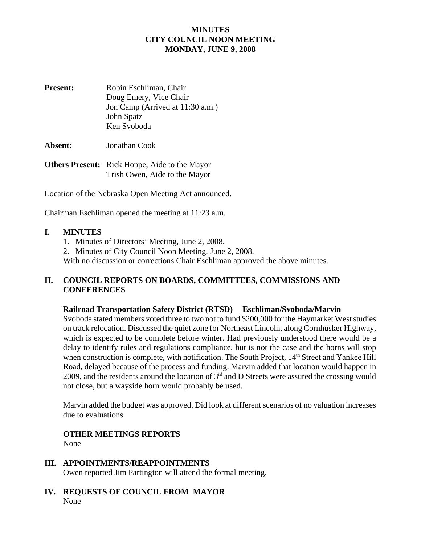# **MINUTES CITY COUNCIL NOON MEETING MONDAY, JUNE 9, 2008**

**Present:** Robin Eschliman, Chair Doug Emery, Vice Chair Jon Camp (Arrived at 11:30 a.m.) John Spatz Ken Svoboda

**Absent:** Jonathan Cook

**Others Present:** Rick Hoppe, Aide to the Mayor Trish Owen, Aide to the Mayor

Location of the Nebraska Open Meeting Act announced.

Chairman Eschliman opened the meeting at 11:23 a.m.

#### **I. MINUTES**

- 1. Minutes of Directors' Meeting, June 2, 2008.
- 2. Minutes of City Council Noon Meeting, June 2, 2008.

With no discussion or corrections Chair Eschliman approved the above minutes.

# **II. COUNCIL REPORTS ON BOARDS, COMMITTEES, COMMISSIONS AND CONFERENCES**

#### **Railroad Transportation Safety District (RTSD) Eschliman/Svoboda/Marvin**

Svoboda stated members voted three to two not to fund \$200,000 for the Haymarket West studies on track relocation. Discussed the quiet zone for Northeast Lincoln, along Cornhusker Highway, which is expected to be complete before winter. Had previously understood there would be a delay to identify rules and regulations compliance, but is not the case and the horns will stop when construction is complete, with notification. The South Project,  $14<sup>th</sup>$  Street and Yankee Hill Road, delayed because of the process and funding. Marvin added that location would happen in 2009, and the residents around the location of  $3<sup>rd</sup>$  and D Streets were assured the crossing would not close, but a wayside horn would probably be used.

Marvin added the budget was approved. Did look at different scenarios of no valuation increases due to evaluations.

**OTHER MEETINGS REPORTS** None

- **III. APPOINTMENTS/REAPPOINTMENTS** Owen reported Jim Partington will attend the formal meeting.
- **IV. REQUESTS OF COUNCIL FROM MAYOR**

None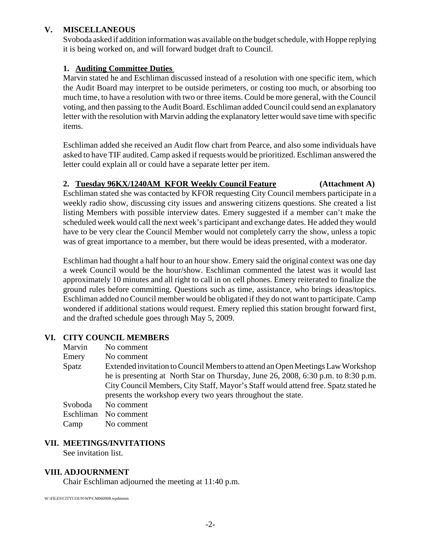# **V. MISCELLANEOUS**

Svoboda asked if addition information was available on the budget schedule, with Hoppe replying it is being worked on, and will forward budget draft to Council.

# **1. Auditing Committee Duties**

Marvin stated he and Eschliman discussed instead of a resolution with one specific item, which the Audit Board may interpret to be outside perimeters, or costing too much, or absorbing too much time, to have a resolution with two or three items. Could be more general, with the Council voting, and then passing to the Audit Board. Eschliman added Council could send an explanatory letter with the resolution with Marvin adding the explanatory letter would save time with specific items.

Eschliman added she received an Audit flow chart from Pearce, and also some individuals have asked to have TIF audited. Camp asked if requests would be prioritized. Eschliman answered the letter could explain all or could have a separate letter per item.

#### **2. Tuesday 96KX/1240AM KFOR Weekly Council Feature (Attachment A)** Eschliman stated she was contacted by KFOR requesting City Council members participate in a weekly radio show, discussing city issues and answering citizens questions. She created a list listing Members with possible interview dates. Emery suggested if a member can't make the scheduled week would call the next week's participant and exchange dates. He added they would have to be very clear the Council Member would not completely carry the show, unless a topic

was of great importance to a member, but there would be ideas presented, with a moderator.

Eschliman had thought a half hour to an hour show. Emery said the original context was one day a week Council would be the hour/show. Eschliman commented the latest was it would last approximately 10 minutes and all right to call in on cell phones. Emery reiterated to finalize the ground rules before committing. Questions such as time, assistance, who brings ideas/topics. Eschliman added no Council member would be obligated if they do not want to participate. Camp wondered if additional stations would request. Emery replied this station brought forward first, and the drafted schedule goes through May 5, 2009.

# **VI. CITY COUNCIL MEMBERS**

| Marvin    | No comment                                                                         |
|-----------|------------------------------------------------------------------------------------|
| Emery     | No comment                                                                         |
| Spatz     | Extended invitation to Council Members to attend an Open Meetings Law Workshop     |
|           | he is presenting at North Star on Thursday, June 26, 2008, 6:30 p.m. to 8:30 p.m.  |
|           | City Council Members, City Staff, Mayor's Staff would attend free. Spatz stated he |
|           | presents the workshop every two years throughout the state.                        |
| Svoboda   | No comment                                                                         |
| Eschliman | No comment                                                                         |
| Camp      | No comment                                                                         |
|           |                                                                                    |

# **VII. MEETINGS/INVITATIONS**

See invitation list.

# **VIII. ADJOURNMENT**

Chair Eschliman adjourned the meeting at 11:40 p.m.